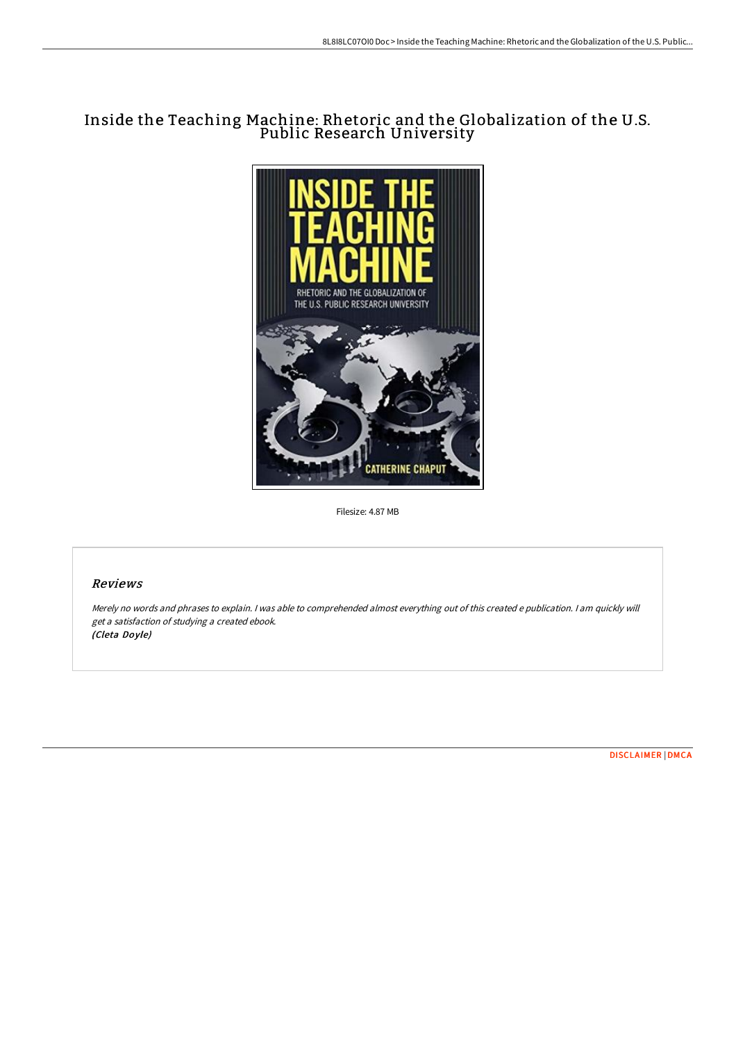# Inside the Teaching Machine: Rhetoric and the Globalization of the U.S. Public Research University



Filesize: 4.87 MB

# Reviews

Merely no words and phrases to explain. <sup>I</sup> was able to comprehended almost everything out of this created <sup>e</sup> publication. <sup>I</sup> am quickly will get <sup>a</sup> satisfaction of studying <sup>a</sup> created ebook. (Cleta Doyle)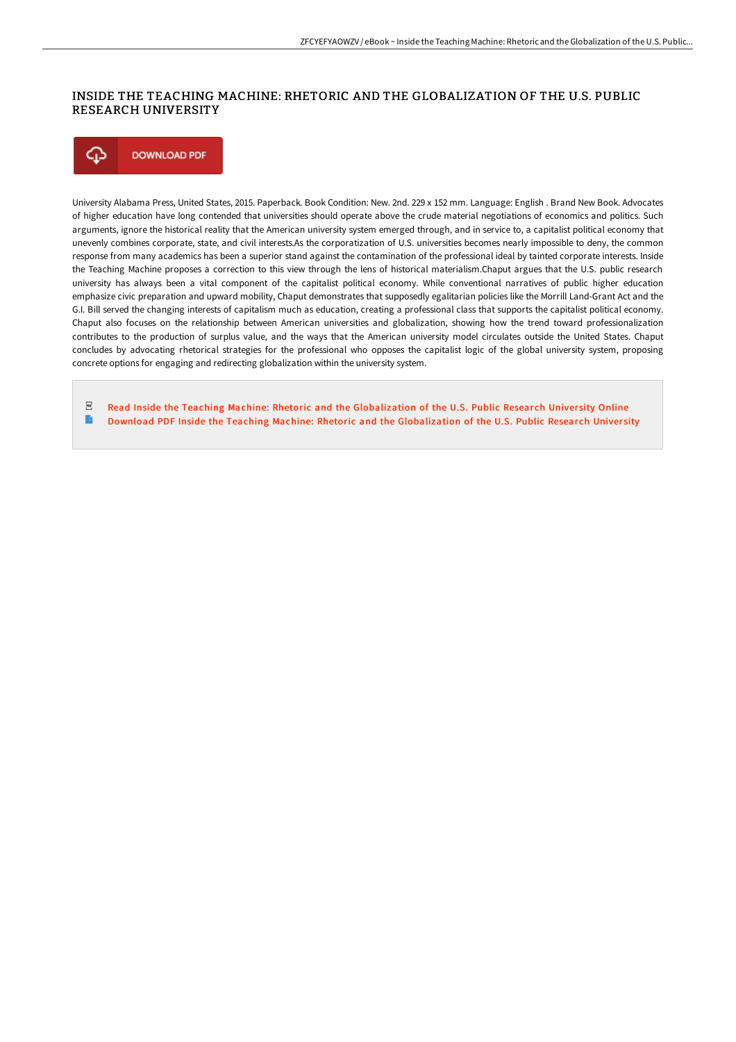### INSIDE THE TEACHING MACHINE: RHETORIC AND THE GLOBALIZATION OF THE U.S. PUBLIC RESEARCH UNIVERSITY

#### ⊕ **DOWNLOAD PDF**

University Alabama Press, United States, 2015. Paperback. Book Condition: New. 2nd. 229 x 152 mm. Language: English . Brand New Book. Advocates of higher education have long contended that universities should operate above the crude material negotiations of economics and politics. Such arguments, ignore the historical reality that the American university system emerged through, and in service to, a capitalist political economy that unevenly combines corporate, state, and civil interests.As the corporatization of U.S. universities becomes nearly impossible to deny, the common response from many academics has been a superior stand against the contamination of the professional ideal by tainted corporate interests. Inside the Teaching Machine proposes a correction to this view through the lens of historical materialism.Chaput argues that the U.S. public research university has always been a vital component of the capitalist political economy. While conventional narratives of public higher education emphasize civic preparation and upward mobility, Chaput demonstrates that supposedly egalitarian policies like the Morrill Land-Grant Act and the G.I. Bill served the changing interests of capitalism much as education, creating a professional class that supports the capitalist political economy. Chaput also focuses on the relationship between American universities and globalization, showing how the trend toward professionalization contributes to the production of surplus value, and the ways that the American university model circulates outside the United States. Chaput concludes by advocating rhetorical strategies for the professional who opposes the capitalist logic of the global university system, proposing concrete options for engaging and redirecting globalization within the university system.

 $_{\rm PDF}$ Read Inside the Teaching Machine: Rhetoric and the [Globalization](http://bookera.tech/inside-the-teaching-machine-rhetoric-and-the-glo.html) of the U.S. Public Research University Online B Download PDF Inside the Teaching Machine: Rhetoric and the [Globalization](http://bookera.tech/inside-the-teaching-machine-rhetoric-and-the-glo.html) of the U.S. Public Research University